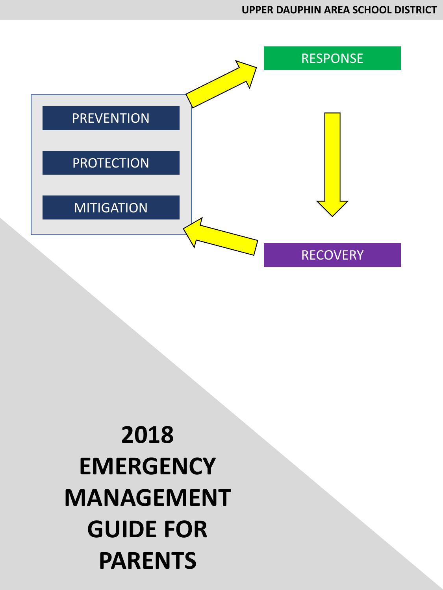

# **2018 EMERGENCY MANAGEMENT GUIDE FOR PARENTS**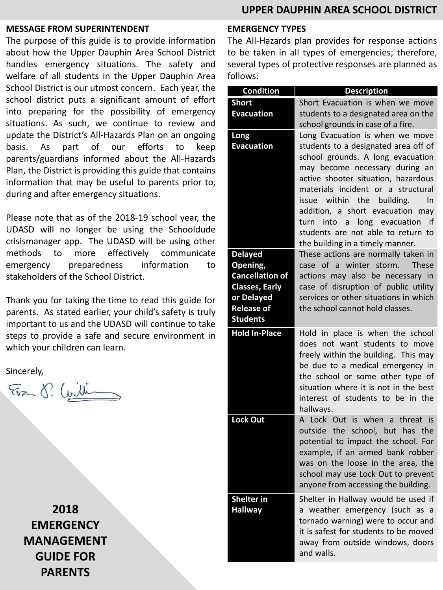#### **MESSAGE FROM SUPERINTENDENT**

The purpose of this guide is to provide information about how the Upper Dauphin Area School District handles emergency situations. The safety and welfare of all students in the Upper Dauphin Area School District is our utmost concern. Each year, the school district puts a significant amount of effort into preparing for the possibility of emergency situations. As such, we continue to review and update the District's All-Hazards Plan on an ongoing basis. As part of our efforts to keep parents/guardians informed about the All-Hazards Plan, the District is providing this guide that contains information that may be useful to parents prior to, during and after emergency situations.

Please note that as of the 2018-19 school year, the UDASD will no longer be using the Schooldude crisismanager app. The UDASD will be using other methods to more effectively communicate emergency preparedness information to stakeholders of the School District.

Thank you for taking the time to read this guide for parents. As stated earlier, your child's safety is truly important to us and the UDASD will continue to take steps to provide a safe and secure environment in which your children can learn.

Sincerely,

Evan S. Cuilling

**2018 EMERGENCY MANAGEMENT GUIDE FOR PARENTS**

#### **EMERGENCY TYPES**

The All-Hazards plan provides for response actions to be taken in all types of emergencies; therefore, several types of protective responses are planned as follows:

| <b>Condition</b>                                | <b>Description</b>                                                                                                                                                                                                                                                                                                                                                                                                                                                                                                                                                                                         |
|-------------------------------------------------|------------------------------------------------------------------------------------------------------------------------------------------------------------------------------------------------------------------------------------------------------------------------------------------------------------------------------------------------------------------------------------------------------------------------------------------------------------------------------------------------------------------------------------------------------------------------------------------------------------|
| <b>Short</b>                                    | Short Evacuation is when we move                                                                                                                                                                                                                                                                                                                                                                                                                                                                                                                                                                           |
| <b>Evacuation</b>                               | students to a designated area on the                                                                                                                                                                                                                                                                                                                                                                                                                                                                                                                                                                       |
|                                                 | school grounds in case of a fire.                                                                                                                                                                                                                                                                                                                                                                                                                                                                                                                                                                          |
| Long                                            | Long Evacuation is when we move                                                                                                                                                                                                                                                                                                                                                                                                                                                                                                                                                                            |
| <b>Evacuation</b>                               | students to a designated area off of                                                                                                                                                                                                                                                                                                                                                                                                                                                                                                                                                                       |
|                                                 | school grounds. A long evacuation                                                                                                                                                                                                                                                                                                                                                                                                                                                                                                                                                                          |
|                                                 | may become necessary during an                                                                                                                                                                                                                                                                                                                                                                                                                                                                                                                                                                             |
|                                                 | active shooter situation, hazardous                                                                                                                                                                                                                                                                                                                                                                                                                                                                                                                                                                        |
|                                                 | materials incident or a structural                                                                                                                                                                                                                                                                                                                                                                                                                                                                                                                                                                         |
|                                                 | issue within the building.<br>In                                                                                                                                                                                                                                                                                                                                                                                                                                                                                                                                                                           |
|                                                 | addition, a short evacuation may                                                                                                                                                                                                                                                                                                                                                                                                                                                                                                                                                                           |
|                                                 | turn into a long evacuation if                                                                                                                                                                                                                                                                                                                                                                                                                                                                                                                                                                             |
|                                                 | students are not able to return to                                                                                                                                                                                                                                                                                                                                                                                                                                                                                                                                                                         |
|                                                 | the building in a timely manner.                                                                                                                                                                                                                                                                                                                                                                                                                                                                                                                                                                           |
| <b>Delayed</b>                                  | These actions are normally taken in                                                                                                                                                                                                                                                                                                                                                                                                                                                                                                                                                                        |
| Opening,                                        | case of a winter storm.<br><b>These</b>                                                                                                                                                                                                                                                                                                                                                                                                                                                                                                                                                                    |
| <b>Cancellation of</b>                          | actions may also be necessary in                                                                                                                                                                                                                                                                                                                                                                                                                                                                                                                                                                           |
| <b>Classes, Early</b>                           | case of disruption of public utility                                                                                                                                                                                                                                                                                                                                                                                                                                                                                                                                                                       |
| or Delayed                                      | services or other situations in which                                                                                                                                                                                                                                                                                                                                                                                                                                                                                                                                                                      |
| <b>Release of</b>                               | the school cannot hold classes.                                                                                                                                                                                                                                                                                                                                                                                                                                                                                                                                                                            |
| <b>Students</b>                                 |                                                                                                                                                                                                                                                                                                                                                                                                                                                                                                                                                                                                            |
| <b>Hold In-Place</b>                            | Hold in place is when the school                                                                                                                                                                                                                                                                                                                                                                                                                                                                                                                                                                           |
|                                                 | does not want students to move                                                                                                                                                                                                                                                                                                                                                                                                                                                                                                                                                                             |
|                                                 | freely within the building. This may                                                                                                                                                                                                                                                                                                                                                                                                                                                                                                                                                                       |
|                                                 | be due to a medical emergency in                                                                                                                                                                                                                                                                                                                                                                                                                                                                                                                                                                           |
|                                                 |                                                                                                                                                                                                                                                                                                                                                                                                                                                                                                                                                                                                            |
|                                                 |                                                                                                                                                                                                                                                                                                                                                                                                                                                                                                                                                                                                            |
|                                                 |                                                                                                                                                                                                                                                                                                                                                                                                                                                                                                                                                                                                            |
|                                                 |                                                                                                                                                                                                                                                                                                                                                                                                                                                                                                                                                                                                            |
|                                                 |                                                                                                                                                                                                                                                                                                                                                                                                                                                                                                                                                                                                            |
|                                                 |                                                                                                                                                                                                                                                                                                                                                                                                                                                                                                                                                                                                            |
|                                                 |                                                                                                                                                                                                                                                                                                                                                                                                                                                                                                                                                                                                            |
|                                                 |                                                                                                                                                                                                                                                                                                                                                                                                                                                                                                                                                                                                            |
|                                                 |                                                                                                                                                                                                                                                                                                                                                                                                                                                                                                                                                                                                            |
|                                                 |                                                                                                                                                                                                                                                                                                                                                                                                                                                                                                                                                                                                            |
|                                                 |                                                                                                                                                                                                                                                                                                                                                                                                                                                                                                                                                                                                            |
|                                                 |                                                                                                                                                                                                                                                                                                                                                                                                                                                                                                                                                                                                            |
|                                                 |                                                                                                                                                                                                                                                                                                                                                                                                                                                                                                                                                                                                            |
|                                                 |                                                                                                                                                                                                                                                                                                                                                                                                                                                                                                                                                                                                            |
|                                                 |                                                                                                                                                                                                                                                                                                                                                                                                                                                                                                                                                                                                            |
|                                                 |                                                                                                                                                                                                                                                                                                                                                                                                                                                                                                                                                                                                            |
| <b>Lock Out</b><br>Shelter in<br><b>Hallway</b> | the school or some other type of<br>situation where it is not in the best<br>interest of students to be in the<br>hallways.<br>A Lock Out is when a threat is<br>outside the school, but has<br>the<br>potential to impact the school. For<br>example, if an armed bank robber<br>was on the loose in the area, the<br>school may use Lock Out to prevent<br>anyone from accessing the building.<br>Shelter in Hallway would be used if<br>a weather emergency (such as a<br>tornado warning) were to occur and<br>it is safest for students to be moved<br>away from outside windows, doors<br>and walls. |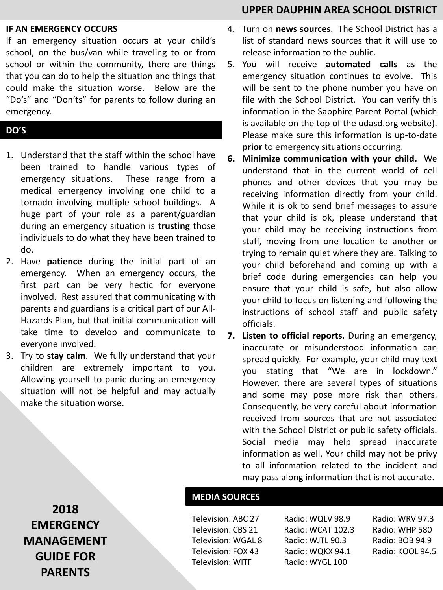#### **IF AN EMERGENCY OCCURS**

If an emergency situation occurs at your child's school, on the bus/van while traveling to or from school or within the community, there are things that you can do to help the situation and things that could make the situation worse. Below are the "Do's" and "Don'ts" for parents to follow during an emergency.

#### **DO'S**

- 1. Understand that the staff within the school have been trained to handle various types of emergency situations. These range from a medical emergency involving one child to a tornado involving multiple school buildings. A huge part of your role as a parent/guardian during an emergency situation is **trusting** those individuals to do what they have been trained to do.
- 2. Have **patience** during the initial part of an emergency. When an emergency occurs, the first part can be very hectic for everyone involved. Rest assured that communicating with parents and guardians is a critical part of our All-Hazards Plan, but that initial communication will take time to develop and communicate to everyone involved.
- 3. Try to **stay calm**. We fully understand that your children are extremely important to you. Allowing yourself to panic during an emergency situation will not be helpful and may actually make the situation worse.

# **UPPER DAUPHIN AREA SCHOOL DISTRICT**

- 4. Turn on **news sources**. The School District has a list of standard news sources that it will use to release information to the public.
- 5. You will receive **automated calls** as the emergency situation continues to evolve. This will be sent to the phone number you have on file with the School District. You can verify this information in the Sapphire Parent Portal (which is available on the top of the udasd.org website). Please make sure this information is up-to-date **prior** to emergency situations occurring.
- **6. Minimize communication with your child.** We understand that in the current world of cell phones and other devices that you may be receiving information directly from your child. While it is ok to send brief messages to assure that your child is ok, please understand that your child may be receiving instructions from staff, moving from one location to another or trying to remain quiet where they are. Talking to your child beforehand and coming up with a brief code during emergencies can help you ensure that your child is safe, but also allow your child to focus on listening and following the instructions of school staff and public safety officials.
- **7. Listen to official reports.** During an emergency, inaccurate or misunderstood information can spread quickly. For example, your child may text you stating that "We are in lockdown." However, there are several types of situations and some may pose more risk than others. Consequently, be very careful about information received from sources that are not associated with the School District or public safety officials. Social media may help spread inaccurate information as well. Your child may not be privy to all information related to the incident and may pass along information that is not accurate.

**2018 EMERGENCY MANAGEMENT GUIDE FOR PARENTS**

## **MEDIA SOURCES**

Television: ABC 27 Television: CBS 21 Television: WGAL 8 Television: FOX 43 Television: WITF

Radio: WQLV 98.9 Radio: WCAT 102.3 Radio: WJTL 90.3 Radio: WQKX 94.1 Radio: WYGL 100

Radio: WRV 97.3 Radio: WHP 580 Radio: BOB 94.9 Radio: KOOL 94.5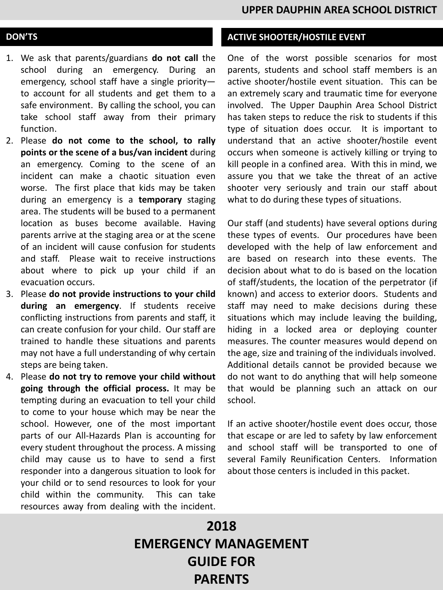#### **DON'TS**

- 1. We ask that parents/guardians **do not call** the school during an emergency. During an emergency, school staff have a single priority to account for all students and get them to a safe environment. By calling the school, you can take school staff away from their primary function.
- 2. Please **do not come to the school, to rally points or the scene of a bus/van incident** during an emergency. Coming to the scene of an incident can make a chaotic situation even worse. The first place that kids may be taken during an emergency is a **temporary** staging area. The students will be bused to a permanent location as buses become available. Having parents arrive at the staging area or at the scene of an incident will cause confusion for students and staff. Please wait to receive instructions about where to pick up your child if an evacuation occurs.
- 3. Please **do not provide instructions to your child during an emergency**. If students receive conflicting instructions from parents and staff, it can create confusion for your child. Our staff are trained to handle these situations and parents may not have a full understanding of why certain steps are being taken.
- 4. Please **do not try to remove your child without going through the official process.** It may be tempting during an evacuation to tell your child to come to your house which may be near the school. However, one of the most important parts of our All-Hazards Plan is accounting for every student throughout the process. A missing child may cause us to have to send a first responder into a dangerous situation to look for your child or to send resources to look for your child within the community. This can take resources away from dealing with the incident.

# **ACTIVE SHOOTER/HOSTILE EVENT**

One of the worst possible scenarios for most parents, students and school staff members is an active shooter/hostile event situation. This can be an extremely scary and traumatic time for everyone involved. The Upper Dauphin Area School District has taken steps to reduce the risk to students if this type of situation does occur. It is important to understand that an active shooter/hostile event occurs when someone is actively killing or trying to kill people in a confined area. With this in mind, we assure you that we take the threat of an active shooter very seriously and train our staff about what to do during these types of situations.

Our staff (and students) have several options during these types of events. Our procedures have been developed with the help of law enforcement and are based on research into these events. The decision about what to do is based on the location of staff/students, the location of the perpetrator (if known) and access to exterior doors. Students and staff may need to make decisions during these situations which may include leaving the building, hiding in a locked area or deploying counter measures. The counter measures would depend on the age, size and training of the individuals involved. Additional details cannot be provided because we do not want to do anything that will help someone that would be planning such an attack on our school.

If an active shooter/hostile event does occur, those that escape or are led to safety by law enforcement and school staff will be transported to one of several Family Reunification Centers. Information about those centers is included in this packet.

# **2018 EMERGENCY MANAGEMENT GUIDE FOR PARENTS**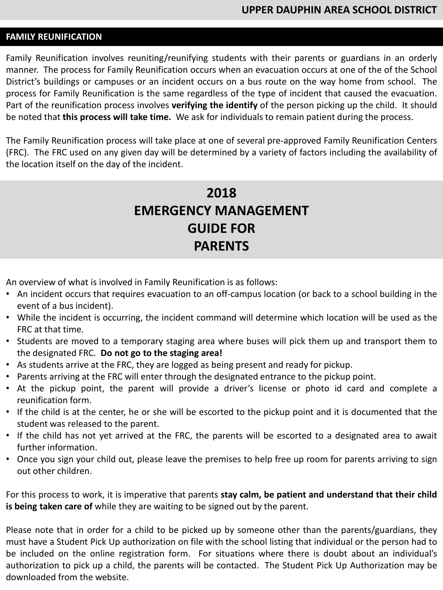### **FAMILY REUNIFICATION**

Family Reunification involves reuniting/reunifying students with their parents or guardians in an orderly manner. The process for Family Reunification occurs when an evacuation occurs at one of the of the School District's buildings or campuses or an incident occurs on a bus route on the way home from school. The process for Family Reunification is the same regardless of the type of incident that caused the evacuation. Part of the reunification process involves **verifying the identify** of the person picking up the child. It should be noted that **this process will take time.** We ask for individuals to remain patient during the process.

The Family Reunification process will take place at one of several pre-approved Family Reunification Centers (FRC). The FRC used on any given day will be determined by a variety of factors including the availability of the location itself on the day of the incident.

# **2018 EMERGENCY MANAGEMENT GUIDE FOR PARENTS**

An overview of what is involved in Family Reunification is as follows:

- An incident occurs that requires evacuation to an off-campus location (or back to a school building in the event of a bus incident).
- While the incident is occurring, the incident command will determine which location will be used as the FRC at that time.
- Students are moved to a temporary staging area where buses will pick them up and transport them to the designated FRC. **Do not go to the staging area!**
- As students arrive at the FRC, they are logged as being present and ready for pickup.
- Parents arriving at the FRC will enter through the designated entrance to the pickup point.
- At the pickup point, the parent will provide a driver's license or photo id card and complete a reunification form.
- If the child is at the center, he or she will be escorted to the pickup point and it is documented that the student was released to the parent.
- If the child has not yet arrived at the FRC, the parents will be escorted to a designated area to await further information.
- Once you sign your child out, please leave the premises to help free up room for parents arriving to sign out other children.

For this process to work, it is imperative that parents **stay calm, be patient and understand that their child is being taken care of** while they are waiting to be signed out by the parent.

Please note that in order for a child to be picked up by someone other than the parents/guardians, they must have a Student Pick Up authorization on file with the school listing that individual or the person had to be included on the online registration form. For situations where there is doubt about an individual's authorization to pick up a child, the parents will be contacted. The Student Pick Up Authorization may be downloaded from the website.